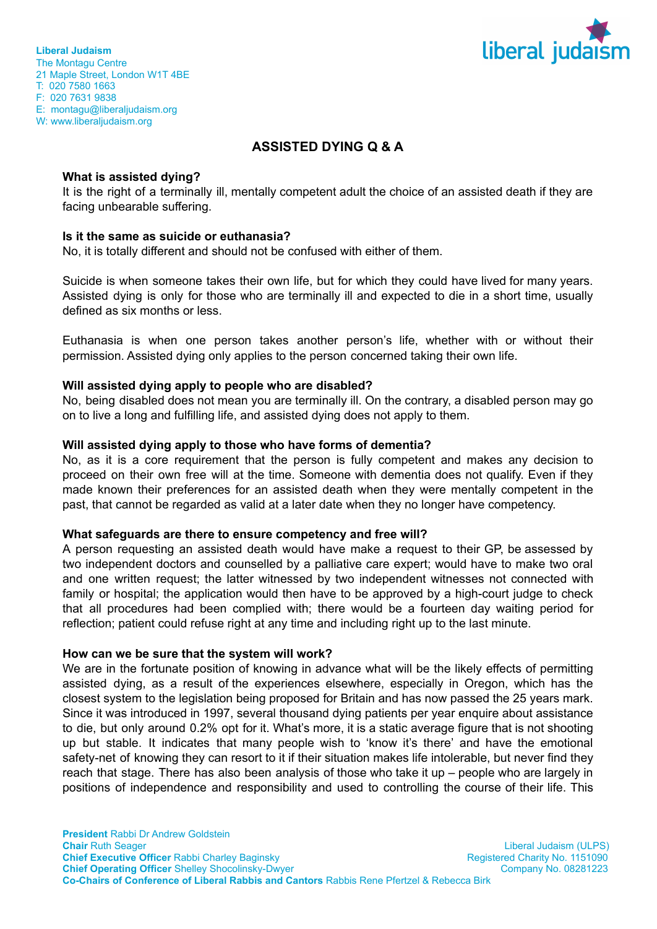

**Liberal Judaism** The Montagu Centre 21 Maple Street, London W1T 4BE T: 020 7580 1663 F: 020 7631 9838 E: montagu@liberaljudaism.org W: www.liberaljudaism.org

# **ASSISTED DYING Q & A**

#### **What is assisted dying?**

It is the right of a terminally ill, mentally competent adult the choice of an assisted death if they are facing unbearable suffering.

### **Is it the same as suicide or euthanasia?**

No, it is totally different and should not be confused with either of them.

Suicide is when someone takes their own life, but for which they could have lived for many years. Assisted dying is only for those who are terminally ill and expected to die in a short time, usually defined as six months or less.

Euthanasia is when one person takes another person's life, whether with or without their permission. Assisted dying only applies to the person concerned taking their own life.

#### **Will assisted dying apply to people who are disabled?**

No, being disabled does not mean you are terminally ill. On the contrary, a disabled person may go on to live a long and fulfilling life, and assisted dying does not apply to them.

#### **Will assisted dying apply to those who have forms of dementia?**

No, as it is a core requirement that the person is fully competent and makes any decision to proceed on their own free will at the time. Someone with dementia does not qualify. Even if they made known their preferences for an assisted death when they were mentally competent in the past, that cannot be regarded as valid at a later date when they no longer have competency.

#### **What safeguards are there to ensure competency and free will?**

A person requesting an assisted death would have make a request to their GP, be assessed by two independent doctors and counselled by a palliative care expert; would have to make two oral and one written request; the latter witnessed by two independent witnesses not connected with family or hospital; the application would then have to be approved by a high-court judge to check that all procedures had been complied with; there would be a fourteen day waiting period for reflection; patient could refuse right at any time and including right up to the last minute.

#### **How can we be sure that the system will work?**

We are in the fortunate position of knowing in advance what will be the likely effects of permitting assisted dying, as a result of the experiences elsewhere, especially in Oregon, which has the closest system to the legislation being proposed for Britain and has now passed the 25 years mark. Since it was introduced in 1997, several thousand dying patients per year enquire about assistance to die, but only around 0.2% opt for it. What's more, it is a static average figure that is not shooting up but stable. It indicates that many people wish to 'know it's there' and have the emotional safety-net of knowing they can resort to it if their situation makes life intolerable, but never find they reach that stage. There has also been analysis of those who take it up – people who are largely in positions of independence and responsibility and used to controlling the course of their life. This